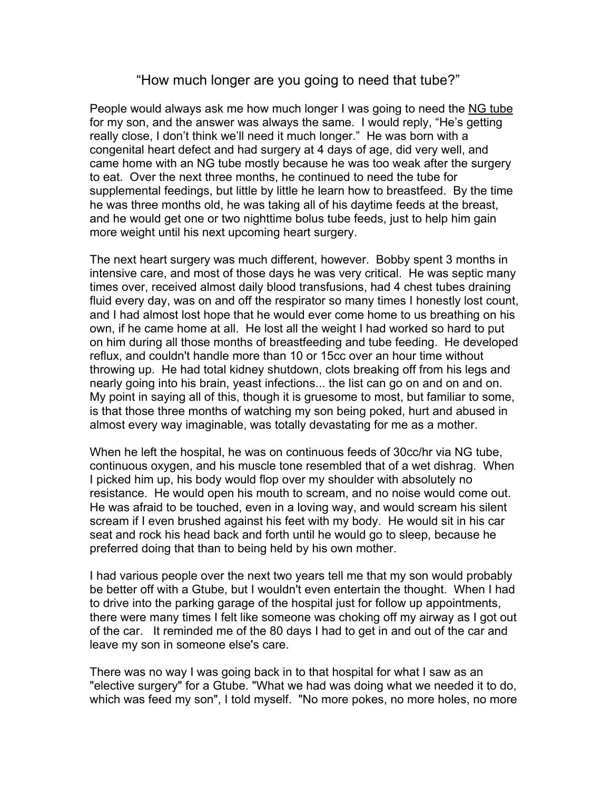## "How much longer are you going to need that tube?"

People would always ask me how much longer I was going to need the NG tube for my son, and the answer was always the same. I would reply, "He's getting really close, I don't think we'll need it much longer." He was born with a congenital heart defect and had surgery at 4 days of age, did very well, and came home with an NG tube mostly because he was too weak after the surgery to eat. Over the next three months, he continued to need the tube for supplemental feedings, but little by little he learn how to breastfeed. By the time he was three months old, he was taking all of his daytime feeds at the breast, and he would get one or two nighttime bolus tube feeds, just to help him gain more weight until his next upcoming heart surgery.

The next heart surgery was much different, however. Bobby spent 3 months in intensive care, and most of those days he was very critical. He was septic many times over, received almost daily blood transfusions, had 4 chest tubes draining fluid every day, was on and off the respirator so many times I honestly lost count, and I had almost lost hope that he would ever come home to us breathing on his own, if he came home at all. He lost all the weight I had worked so hard to put on him during all those months of breastfeeding and tube feeding. He developed reflux, and couldn't handle more than 10 or 15cc over an hour time without throwing up. He had total kidney shutdown, clots breaking off from his legs and nearly going into his brain, yeast infections... the list can go on and on and on. My point in saying all of this, though it is gruesome to most, but familiar to some, is that those three months of watching my son being poked, hurt and abused in almost every way imaginable, was totally devastating for me as a mother.

When he left the hospital, he was on continuous feeds of 30cc/hr via NG tube, continuous oxygen, and his muscle tone resembled that of a wet dishrag. When I picked him up, his body would flop over my shoulder with absolutely no resistance. He would open his mouth to scream, and no noise would come out. He was afraid to be touched, even in a loving way, and would scream his silent scream if I even brushed against his feet with my body. He would sit in his car seat and rock his head back and forth until he would go to sleep, because he preferred doing that than to being held by his own mother.

I had various people over the next two years tell me that my son would probably be better off with a Gtube, but I wouldn't even entertain the thought. When I had to drive into the parking garage of the hospital just for follow up appointments, there were many times I felt like someone was choking off my airway as I got out of the car. It reminded me of the 80 days I had to get in and out of the car and leave my son in someone else's care.

There was no way I was going back in to that hospital for what I saw as an "elective surgery" for a Gtube. "What we had was doing what we needed it to do, which was feed my son", I told myself. "No more pokes, no more holes, no more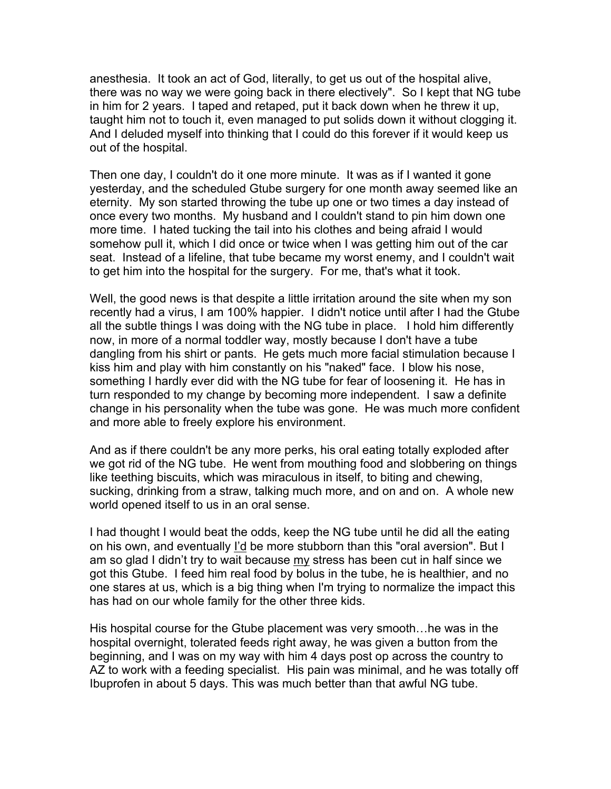anesthesia. It took an act of God, literally, to get us out of the hospital alive, there was no way we were going back in there electively". So I kept that NG tube in him for 2 years. I taped and retaped, put it back down when he threw it up, taught him not to touch it, even managed to put solids down it without clogging it. And I deluded myself into thinking that I could do this forever if it would keep us out of the hospital.

Then one day, I couldn't do it one more minute. It was as if I wanted it gone yesterday, and the scheduled Gtube surgery for one month away seemed like an eternity. My son started throwing the tube up one or two times a day instead of once every two months. My husband and I couldn't stand to pin him down one more time. I hated tucking the tail into his clothes and being afraid I would somehow pull it, which I did once or twice when I was getting him out of the car seat. Instead of a lifeline, that tube became my worst enemy, and I couldn't wait to get him into the hospital for the surgery. For me, that's what it took.

Well, the good news is that despite a little irritation around the site when my son recently had a virus, I am 100% happier. I didn't notice until after I had the Gtube all the subtle things I was doing with the NG tube in place. I hold him differently now, in more of a normal toddler way, mostly because I don't have a tube dangling from his shirt or pants. He gets much more facial stimulation because I kiss him and play with him constantly on his "naked" face. I blow his nose, something I hardly ever did with the NG tube for fear of loosening it. He has in turn responded to my change by becoming more independent. I saw a definite change in his personality when the tube was gone. He was much more confident and more able to freely explore his environment.

And as if there couldn't be any more perks, his oral eating totally exploded after we got rid of the NG tube. He went from mouthing food and slobbering on things like teething biscuits, which was miraculous in itself, to biting and chewing, sucking, drinking from a straw, talking much more, and on and on. A whole new world opened itself to us in an oral sense.

I had thought I would beat the odds, keep the NG tube until he did all the eating on his own, and eventually I'd be more stubborn than this "oral aversion". But I am so glad I didn't try to wait because my stress has been cut in half since we got this Gtube. I feed him real food by bolus in the tube, he is healthier, and no one stares at us, which is a big thing when I'm trying to normalize the impact this has had on our whole family for the other three kids.

His hospital course for the Gtube placement was very smooth…he was in the hospital overnight, tolerated feeds right away, he was given a button from the beginning, and I was on my way with him 4 days post op across the country to AZ to work with a feeding specialist. His pain was minimal, and he was totally off Ibuprofen in about 5 days. This was much better than that awful NG tube.